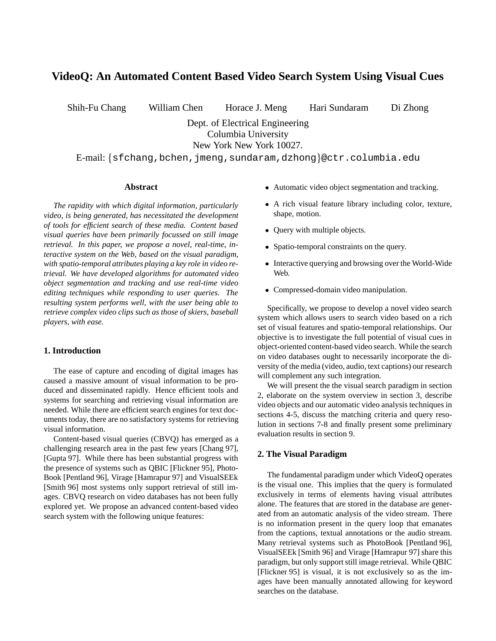# **VideoQ: An Automated Content Based Video Search System Using Visual Cues**

Shih-Fu Chang William Chen Horace J. Meng Hari Sundaram Di Zhong

Dept. of Electrical Engineering Columbia University New York New York 10027.

E-mail:  $s$ fchang, bchen, jmeng, sundaram,dzhong $\text{ectr.columbia.edu}$ 

#### **Abstract**

*The rapidity with which digital information, particularly video, is being generated, has necessitated the development of tools for efficient search of these media. Content based visual queries have been primarily focussed on still image retrieval. In this paper, we propose a novel, real-time, interactive system on the Web, based on the visual paradigm, with spatio-temporal attributes playing a key role in video retrieval. We have developed algorithms for automated video object segmentation and tracking and use real-time video editing techniques while responding to user queries. The resulting system performs well, with the user being able to retrieve complex video clips such as those of skiers, baseball players, with ease.*

# **1. Introduction**

The ease of capture and encoding of digital images has caused a massive amount of visual information to be produced and disseminated rapidly. Hence efficient tools and systems for searching and retrieving visual information are needed. While there are efficient search engines for text documents today, there are no satisfactory systems for retrieving visual information.

Content-based visual queries (CBVQ) has emerged as a challenging research area in the past few years [Chang 97], [Gupta 97]. While there has been substantial progress with the presence of systems such as QBIC [Flickner 95], Photo-Book [Pentland 96], Virage [Hamrapur 97] and VisualSEEk [Smith 96] most systems only support retrieval of still images. CBVQ research on video databases has not been fully explored yet. We propose an advanced content-based video search system with the following unique features:

- Automatic video object segmentation and tracking.
- A rich visual feature library including color, texture, shape, motion.
- Query with multiple objects.
- Spatio-temporal constraints on the query.
- Interactive querying and browsing over the World-Wide Web.
- Compressed-domain video manipulation.

Specifically, we propose to develop a novel video search system which allows users to search video based on a rich set of visual features and spatio-temporal relationships. Our objective is to investigate the full potential of visual cues in object-oriented content-based video search. While the search on video databases ought to necessarily incorporate the diversity of the media (video, audio, text captions) our research will complement any such integration.

We will present the the visual search paradigm in section 2, elaborate on the system overview in section 3, describe video objects and our automatic video analysis techniques in sections 4-5, discuss the matching criteria and query resolution in sections 7-8 and finally present some preliminary evaluation results in section 9.

# **2. The Visual Paradigm**

The fundamental paradigm under which VideoQ operates is the visual one. This implies that the query is formulated exclusively in terms of elements having visual attributes alone. The features that are stored in the database are generated from an automatic analysis of the video stream. There is no information present in the query loop that emanates from the captions, textual annotations or the audio stream. Many retrieval systems such as PhotoBook [Pentland 96], VisualSEEk [Smith 96] and Virage [Hamrapur 97] share this paradigm, but only support still image retrieval. While QBIC [Flickner 95] is visual, it is not exclusively so as the images have been manually annotated allowing for keyword searches on the database.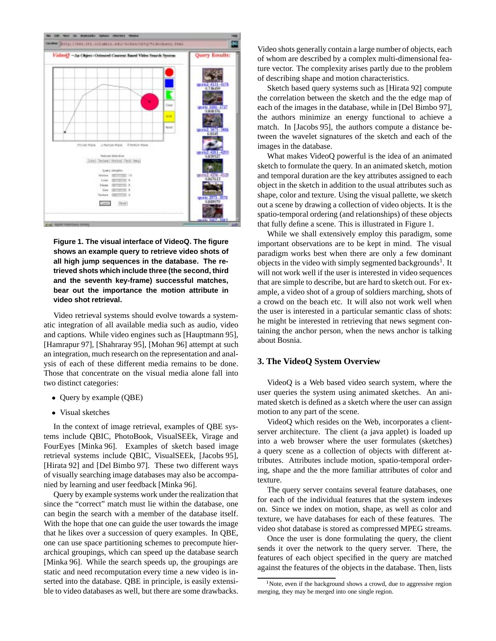

**Figure 1. The visual interface of VideoQ. The figure shows an example query to retrieve video shots of all high jump sequences in the database. The retrieved shots which include three (the second, third and the seventh key-frame) successful matches, bear out the importance the motion attribute in video shot retrieval.**

Video retrieval systems should evolve towards a systematic integration of all available media such as audio, video and captions. While video engines such as [Hauptmann 95], [Hamrapur 97], [Shahraray 95], [Mohan 96] attempt at such an integration, much research on the representation and analysis of each of these different media remains to be done. Those that concentrate on the visual media alone fall into two distinct categories:

- Query by example (QBE)
- Visual sketches

In the context of image retrieval, examples of QBE systems include QBIC, PhotoBook, VisualSEEk, Virage and FourEyes [Minka 96]. Examples of sketch based image retrieval systems include QBIC, VisualSEEk, [Jacobs 95], [Hirata 92] and [Del Bimbo 97]. These two different ways of visually searching image databases may also be accompanied by learning and user feedback [Minka 96].

Query by example systems work under the realization that since the "correct" match must lie within the database, one can begin the search with a member of the database itself. With the hope that one can guide the user towards the image that he likes over a succession of query examples. In QBE, one can use space partitioning schemes to precompute hierarchical groupings, which can speed up the database search [Minka 96]. While the search speeds up, the groupings are static and need recomputation every time a new video is inserted into the database. QBE in principle, is easily extensible to video databases as well, but there are some drawbacks.

Video shots generally contain a large number of objects, each of whom are described by a complex multi-dimensional feature vector. The complexity arises partly due to the problem of describing shape and motion characteristics.

Sketch based query systems such as [Hirata 92] compute the correlation between the sketch and the the edge map of each of the images in the database, while in [Del Bimbo 97], the authors minimize an energy functional to achieve a match. In [Jacobs 95], the authors compute a distance between the wavelet signatures of the sketch and each of the images in the database.

What makes VideoQ powerful is the idea of an animated sketch to formulate the query. In an animated sketch, motion and temporal duration are the key attributes assigned to each object in the sketch in addition to the usual attributes such as shape, color and texture. Using the visual pallette, we sketch out a scene by drawing a collection of video objects. It is the spatio-temporal ordering (and relationships) of these objects that fully define a scene. This is illustrated in Figure 1.

While we shall extensively employ this paradigm, some important observations are to be kept in mind. The visual paradigm works best when there are only a few dominant objects in the video with simply segmented backgrounds<sup>1</sup>. It will not work well if the user is interested in video sequences that are simple to describe, but are hard to sketch out. For example, a video shot of a group of soldiers marching, shots of a crowd on the beach etc. It will also not work well when the user is interested in a particular semantic class of shots: he might be interested in retrieving that news segment containing the anchor person, when the news anchor is talking about Bosnia.

# **3. The VideoQ System Overview**

VideoQ is a Web based video search system, where the user queries the system using animated sketches. An animated sketch is defined as a sketch where the user can assign motion to any part of the scene.

VideoQ which resides on the Web, incorporates a clientserver architecture. The client (a java applet) is loaded up into a web browser where the user formulates (sketches) a query scene as a collection of objects with different attributes. Attributes include motion, spatio-temporal ordering, shape and the the more familiar attributes of color and texture.

The query server contains several feature databases, one for each of the individual features that the system indexes on. Since we index on motion, shape, as well as color and texture, we have databases for each of these features. The video shot database is stored as compressed MPEG streams.

Once the user is done formulating the query, the client sends it over the network to the query server. There, the features of each object specified in the query are matched against the features of the objects in the database. Then, lists

<sup>&</sup>lt;sup>1</sup>Note, even if the background shows a crowd, due to aggressive region merging, they may be merged into one single region.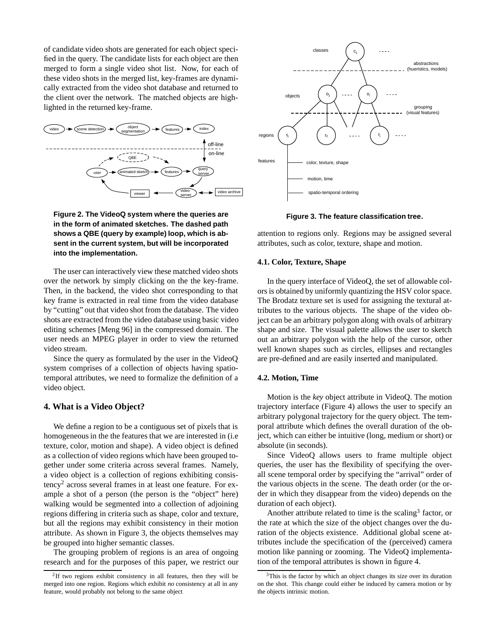of candidate video shots are generated for each object specified in the query. The candidate lists for each object are then merged to form a single video shot list. Now, for each of these video shots in the merged list, key-frames are dynamically extracted from the video shot database and returned to the client over the network. The matched objects are highlighted in the returned key-frame.



# **Figure 2. The VideoQ system where the queries are in the form of animated sketches. The dashed path shows a QBE (query by example) loop, which is absent in the current system, but will be incorporated into the implementation.**

The user can interactively view these matched video shots over the network by simply clicking on the the key-frame. Then, in the backend, the video shot corresponding to that key frame is extracted in real time from the video database by "cutting" out that video shot from the database. The video shots are extracted from the video database using basic video editing schemes [Meng 96] in the compressed domain. The user needs an MPEG player in order to view the returned video stream.

Since the query as formulated by the user in the VideoQ system comprises of a collection of objects having spatiotemporal attributes, we need to formalize the definition of a video object.

# **4. What is a Video Object?**

We define a region to be a contiguous set of pixels that is homogeneous in the the features that we are interested in (i.e texture, color, motion and shape). A video object is defined as a collection of video regions which have been grouped together under some criteria across several frames. Namely, a video object is a collection of regions exhibiting consistency<sup>2</sup> across several frames in at least one feature. For example a shot of a person (the person is the "object" here) walking would be segmented into a collection of adjoining regions differing in criteria such as shape, color and texture, but all the regions may exhibit consistency in their motion attribute. As shown in Figure 3, the objects themselves may be grouped into higher semantic classes.

The grouping problem of regions is an area of ongoing research and for the purposes of this paper, we restrict our



**Figure 3. The feature classification tree.**

attention to regions only. Regions may be assigned several attributes, such as color, texture, shape and motion.

# **4.1. Color, Texture, Shape**

In the query interface of VideoQ, the set of allowable colors is obtained by uniformly quantizing the HSV color space. The Brodatz texture set is used for assigning the textural attributes to the various objects. The shape of the video object can be an arbitrary polygon along with ovals of arbitrary shape and size. The visual palette allows the user to sketch out an arbitrary polygon with the help of the cursor, other well known shapes such as circles, ellipses and rectangles are pre-defined and are easily inserted and manipulated.

#### **4.2. Motion, Time**

Motion is the *key* object attribute in VideoQ. The motion trajectory interface (Figure 4) allows the user to specify an arbitrary polygonal trajectory for the query object. The temporal attribute which defines the overall duration of the object, which can either be intuitive (long, medium or short) or absolute (in seconds).

Since VideoQ allows users to frame multiple object queries, the user has the flexibility of specifying the overall scene temporal order by specifying the "arrival" order of the various objects in the scene. The death order (or the order in which they disappear from the video) depends on the duration of each object).

Another attribute related to time is the scaling<sup>3</sup> factor, or the rate at which the size of the object changes over the duration of the objects existence. Additional global scene attributes include the specification of the (perceived) camera motion like panning or zooming. The VideoQ implementation of the temporal attributes is shown in figure 4.

<sup>2</sup>If two regions exhibit consistency in all features, then they will be merged into one region. Regions which exhibit *no* consistency at all in any feature, would probably not belong to the same object

<sup>&</sup>lt;sup>3</sup>This is the factor by which an object changes its size over its duration on the shot. This change could either be induced by camera motion or by the objects intrinsic motion.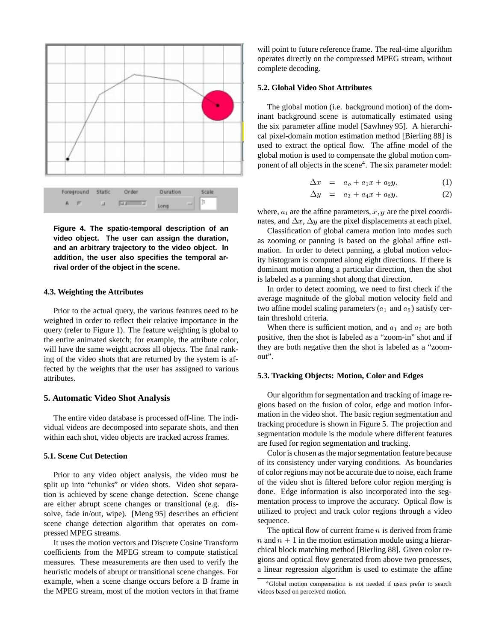

**Figure 4. The spatio-temporal description of an video object. The user can assign the duration, and an arbitrary trajectory to the video object. In addition, the user also specifies the temporal arrival order of the object in the scene.**

#### **4.3. Weighting the Attributes**

Prior to the actual query, the various features need to be weighted in order to reflect their relative importance in the query (refer to Figure 1). The feature weighting is global to the entire animated sketch; for example, the attribute color, will have the same weight across all objects. The final ranking of the video shots that are returned by the system is affected by the weights that the user has assigned to various attributes.

#### **5. Automatic Video Shot Analysis**

The entire video database is processed off-line. The individual videos are decomposed into separate shots, and then within each shot, video objects are tracked across frames.

## **5.1. Scene Cut Detection**

Prior to any video object analysis, the video must be split up into "chunks" or video shots. Video shot separation is achieved by scene change detection. Scene change are either abrupt scene changes or transitional (e.g. dissolve, fade in/out, wipe). [Meng 95] describes an efficient scene change detection algorithm that operates on compressed MPEG streams.

It uses the motion vectors and Discrete Cosine Transform coefficients from the MPEG stream to compute statistical measures. These measurements are then used to verify the heuristic models of abrupt or transitional scene changes. For example, when a scene change occurs before a B frame in the MPEG stream, most of the motion vectors in that frame will point to future reference frame. The real-time algorithm operates directly on the compressed MPEG stream, without complete decoding.

#### **5.2. Global Video Shot Attributes**

The global motion (i.e. background motion) of the dominant background scene is automatically estimated using the six parameter affine model [Sawhney 95]. A hierarchical pixel-domain motion estimation method [Bierling 88] is used to extract the optical flow. The affine model of the global motion is used to compensate the global motion component of all objects in the scene<sup>4</sup>. The six parameter model:

$$
\Delta x = a_o + a_1 x + a_2 y,\tag{1}
$$

$$
\Delta y = a_3 + a_4 x + a_5 y,\tag{2}
$$

where,  $a_i$  are the affine parameters,  $x, y$  are the pixel coordinates, and  $\Delta x$ ,  $\Delta y$  are the pixel displacements at each pixel.

Classification of global camera motion into modes such as zooming or panning is based on the global affine estimation. In order to detect panning, a global motion velocity histogram is computed along eight directions. If there is dominant motion along a particular direction, then the shot is labeled as a panning shot along that direction.

In order to detect zooming, we need to first check if the average magnitude of the global motion velocity field and two affine model scaling parameters  $(a_1 \text{ and } a_5)$  satisfy certain threshold criteria.

When there is sufficient motion, and  $a_1$  and  $a_5$  are both positive, then the shot is labeled as a "zoom-in" shot and if they are both negative then the shot is labeled as a "zoomout".

#### **5.3. Tracking Objects: Motion, Color and Edges**

Our algorithm for segmentation and tracking of image regions based on the fusion of color, edge and motion information in the video shot. The basic region segmentation and tracking procedure is shown in Figure 5. The projection and segmentation module is the module where different features are fused for region segmentation and tracking.

Color is chosen as the major segmentation feature because of its consistency under varying conditions. As boundaries of color regions may not be accurate due to noise, each frame of the video shot is filtered before color region merging is done. Edge information is also incorporated into the segmentation process to improve the accuracy. Optical flow is utilized to project and track color regions through a video sequence.

The optical flow of current frame  $n$  is derived from frame n and  $n + 1$  in the motion estimation module using a hierarchical block matching method [Bierling 88]. Given color regions and optical flow generated from above two processes, a linear regression algorithm is used to estimate the affine

<sup>4</sup>Global motion compensation is not needed if users prefer to search videos based on perceived motion.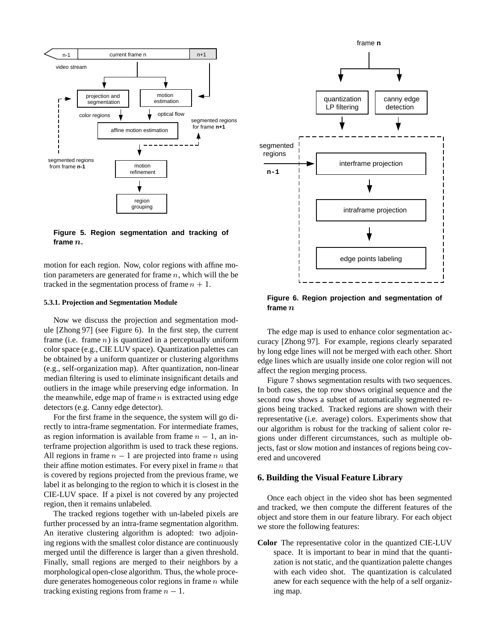

**Figure 5. Region segmentation and tracking of frame** <sup>n</sup>**.**

motion for each region. Now, color regions with affine motion parameters are generated for frame  $n$ , which will the be tracked in the segmentation process of frame  $n + 1$ .

#### **5.3.1. Projection and Segmentation Module**

Now we discuss the projection and segmentation module [Zhong 97] (see Figure 6). In the first step, the current frame (i.e. frame  $n$ ) is quantized in a perceptually uniform color space (e.g., CIE LUV space). Quantization palettes can be obtained by a uniform quantizer or clustering algorithms (e.g., self-organization map). After quantization, non-linear median filtering is used to eliminate insignificant details and outliers in the image while preserving edge information. In the meanwhile, edge map of frame  $n$  is extracted using edge detectors (e.g. Canny edge detector).

For the first frame in the sequence, the system will go directly to intra-frame segmentation. For intermediate frames, as region information is available from frame  $n - 1$ , an interframe projection algorithm is used to track these regions. All regions in frame  $n - 1$  are projected into frame n using their affine motion estimates. For every pixel in frame  $n$  that is covered by regions projected from the previous frame, we label it as belonging to the region to which it is closest in the CIE-LUV space. If a pixel is not covered by any projected region, then it remains unlabeled.

The tracked regions together with un-labeled pixels are further processed by an intra-frame segmentation algorithm. An iterative clustering algorithm is adopted: two adjoining regions with the smallest color distance are continuously merged until the difference is larger than a given threshold. Finally, small regions are merged to their neighbors by a morphological open-close algorithm. Thus, the whole procedure generates homogeneous color regions in frame  $n$  while tracking existing regions from frame  $n - 1$ .



**Figure 6. Region projection and segmentation of frame** <sup>n</sup>

The edge map is used to enhance color segmentation accuracy [Zhong 97]. For example, regions clearly separated by long edge lines will not be merged with each other. Short edge lines which are usually inside one color region will not affect the region merging process.

Figure 7 shows segmentation results with two sequences. In both cases, the top row shows original sequence and the second row shows a subset of automatically segmented regions being tracked. Tracked regions are shown with their representative (i.e. average) colors. Experiments show that our algorithm is robust for the tracking of salient color regions under different circumstances, such as multiple objects, fast or slow motion and instances of regions being covered and uncovered

# **6. Building the Visual Feature Library**

Once each object in the video shot has been segmented and tracked, we then compute the different features of the object and store them in our feature library. For each object we store the following features:

**Color** The representative color in the quantized CIE-LUV space. It is important to bear in mind that the quantization is not static, and the quantization palette changes with each video shot. The quantization is calculated anew for each sequence with the help of a self organizing map.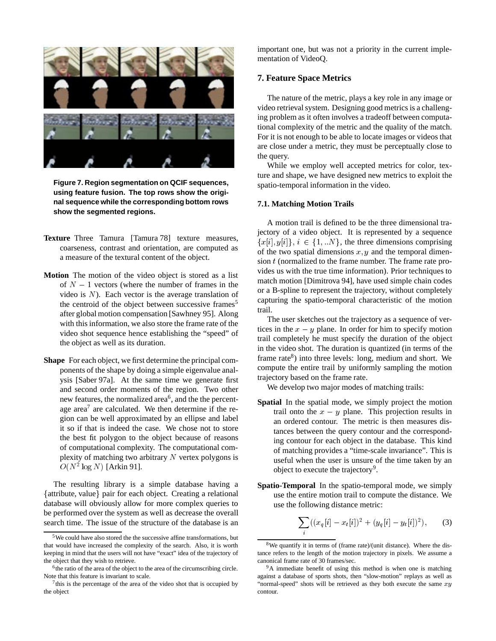

**Figure 7. Region segmentation on QCIF sequences, using feature fusion. The top rows show the original sequence while the corresponding bottom rows show the segmented regions.**

- **Texture** Three Tamura [Tamura 78] texture measures, coarseness, contrast and orientation, are computed as a measure of the textural content of the object.
- **Motion** The motion of the video object is stored as a list of  $N - 1$  vectors (where the number of frames in the video is  $N$ ). Each vector is the average translation of the centroid of the object between successive frames<sup>5</sup> after global motion compensation [Sawhney 95]. Along with this information, we also store the frame rate of the video shot sequence hence establishing the "speed" of the object as well as its duration.
- **Shape** For each object, we first determine the principal components of the shape by doing a simple eigenvalue analysis [Saber 97a]. At the same time we generate first and second order moments of the region. Two other new features, the normalized area<sup> $6$ </sup>, and the the percentage area<sup>7</sup> are calculated. We then determine if the region can be well approximated by an ellipse and label it so if that is indeed the case. We chose not to store the best fit polygon to the object because of reasons of computational complexity. The computational complexity of matching two arbitrary  $N$  vertex polygons is  $O(N^2 \log N)$  [Arkin 91].

The resulting library is a simple database having a {attribute, value} pair for each object. Creating a relational database will obviously allow for more complex queries to be performed over the system as well as decrease the overall search time. The issue of the structure of the database is an

important one, but was not a priority in the current implementation of VideoQ.

# **7. Feature Space Metrics**

The nature of the metric, plays a key role in any image or video retrieval system. Designing good metrics is a challenging problem as it often involves a tradeoff between computational complexity of the metric and the quality of the match. For it is not enough to be able to locate images or videos that are close under a metric, they must be perceptually close to the query.

While we employ well accepted metrics for color, texture and shape, we have designed new metrics to exploit the spatio-temporal information in the video.

#### **7.1. Matching Motion Trails**

A motion trail is defined to be the three dimensional trajectory of a video object. It is represented by a sequence  ${x[i], y[i]}, i \in \{1, \ldots N\}$ , the three dimensions comprising of the two spatial dimensions  $x, y$  and the temporal dimension  $t$  (normalized to the frame number. The frame rate provides us with the true time information). Prior techniques to match motion [Dimitrova 94], have used simple chain codes or a B-spline to represent the trajectory, without completely capturing the spatio-temporal characteristic of the motion trail.

The user sketches out the trajectory as a sequence of vertices in the  $x - y$  plane. In order for him to specify motion trail completely he must specify the duration of the object in the video shot. The duration is quantized (in terms of the frame rate<sup>8</sup>) into three levels: long, medium and short. We compute the entire trail by uniformly sampling the motion trajectory based on the frame rate.

We develop two major modes of matching trails:

- **Spatial** In the spatial mode, we simply project the motion trail onto the  $x - y$  plane. This projection results in an ordered contour. The metric is then measures distances between the query contour and the corresponding contour for each object in the database. This kind of matching provides a "time-scale invariance". This is useful when the user is unsure of the time taken by an object to execute the trajectory<sup>9</sup>.
- **Spatio-Temporal** In the spatio-temporal mode, we simply use the entire motion trail to compute the distance. We use the following distance metric:

$$
\sum_{i} ((x_q[i] - x_t[i])^2 + (y_q[i] - y_t[i])^2), \qquad (3)
$$

i

 $5$ We could have also stored the the successive affine transformations, but that would have increased the complexity of the search. Also, it is worth keeping in mind that the users will not have "exact" idea of the trajectory of the object that they wish to retrieve.

<sup>&</sup>lt;sup>6</sup>the ratio of the area of the object to the area of the circumscribing circle. Note that this feature is invariant to scale.

 $7$  this is the percentage of the area of the video shot that is occupied by the object

 $8$ We quantify it in terms of (frame rate)/(unit distance). Where the distance refers to the length of the motion trajectory in pixels. We assume a canonical frame rate of 30 frames/sec.

<sup>&</sup>lt;sup>9</sup>A immediate benefit of using this method is when one is matching against a database of sports shots, then "slow-motion" replays as well as "normal-speed" shots will be retrieved as they both execute the same  $xy$ contour.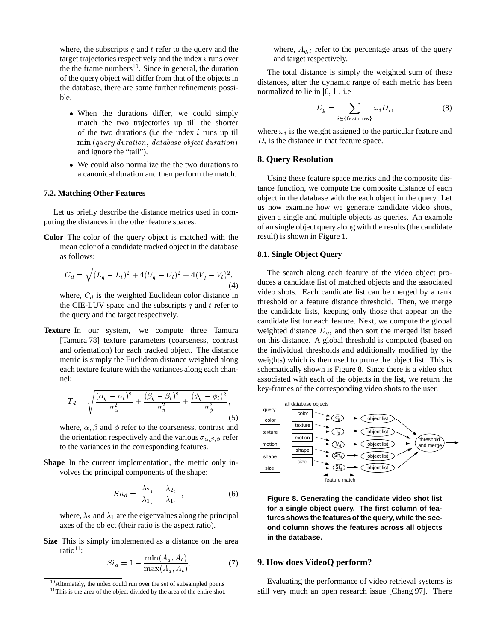where, the subscripts  $q$  and  $t$  refer to the query and the target trajectories respectively and the index i runs over the the frame numbers<sup>10</sup>. Since in general, the duration of the query object will differ from that of the objects in the database, there are some further refinements possible.

- When the durations differ, we could simply match the two trajectories up till the shorter of the two durations (i.e the index  $i$  runs up til min (query duration; database object duration) and ignore the "tail").
- We could also normalize the the two durations to a canonical duration and then perform the match.

## **7.2. Matching Other Features**

Let us briefly describe the distance metrics used in computing the distances in the other feature spaces.

**Color** The color of the query object is matched with the mean color of a candidate tracked object in the database as follows:

$$
C_d = \sqrt{(L_q - L_t)^2 + 4(U_q - U_t)^2 + 4(V_q - V_t)^2},
$$
\n(4)

where,  $C_d$  is the weighted Euclidean color distance in the CIE-LUV space and the subscripts  $q$  and  $t$  refer to the query and the target respectively.

**Texture** In our system, we compute three Tamura [Tamura 78] texture parameters (coarseness, contrast and orientation) for each tracked object. The distance metric is simply the Euclidean distance weighted along each texture feature with the variances along each channel:

$$
T_d = \sqrt{\frac{(\alpha_q - \alpha_t)^2}{\sigma_\alpha^2} + \frac{(\beta_q - \beta_t)^2}{\sigma_\beta^2} + \frac{(\phi_q - \phi_t)^2}{\sigma_\phi^2}},
$$
(5)

where,  $\alpha$ ,  $\beta$  and  $\phi$  refer to the coarseness, contrast and the orientation respectively and the various  $\sigma_{\alpha,\beta,\phi}$  refer to the variances in the corresponding features.

**Shape** In the current implementation, the metric only involves the principal components of the shape:

$$
Sh_d = \left| \frac{\lambda_{2_q}}{\lambda_{1_q}} - \frac{\lambda_{2_t}}{\lambda_{1_t}} \right|,\tag{6}
$$

where,  $\lambda_2$  and  $\lambda_1$  are the eigenvalues along the principal axes of the object (their ratio is the aspect ratio).

**Size** This is simply implemented as a distance on the area ratio $11$ :

$$
Si_d = 1 - \frac{\min(A_q, A_t)}{\max(A_q, A_t)},
$$
\n(7)

where,  $A_{q,t}$  refer to the percentage areas of the query and target respectively.

The total distance is simply the weighted sum of these distances, after the dynamic range of each metric has been normalized to lie in  $[0, 1]$ . i.e

$$
D_g = \sum_{i \in \{\text{features}\}} \omega_i D_i,\tag{8}
$$

where  $\omega_i$  is the weight assigned to the particular feature and  $D_i$  is the distance in that feature space.

# **8. Query Resolution**

Using these feature space metrics and the composite distance function, we compute the composite distance of each object in the database with the each object in the query. Let us now examine how we generate candidate video shots, given a single and multiple objects as queries. An example of an single object query along with the results (the candidate result) is shown in Figure 1.

# **8.1. Single Object Query**

The search along each feature of the video object produces a candidate list of matched objects and the associated video shots. Each candidate list can be merged by a rank threshold or a feature distance threshold. Then, we merge the candidate lists, keeping only those that appear on the candidate list for each feature. Next, we compute the global weighted distance  $D_q$ , and then sort the merged list based on this distance. A global threshold is computed (based on the individual thresholds and additionally modified by the weights) which is then used to prune the object list. This is schematically shown is Figure 8. Since there is a video shot associated with each of the objects in the list, we return the key-frames of the corresponding video shots to the user.



**Figure 8. Generating the candidate video shot list for a single object query. The first column of features shows the features of the query, while the second column shows the features across all objects in the database.**

## **9. How does VideoQ perform?**

Evaluating the performance of video retrieval systems is still very much an open research issue [Chang 97]. There

 $10$ Alternately, the index could run over the set of subsampled points

 $11$ This is the area of the object divided by the area of the entire shot.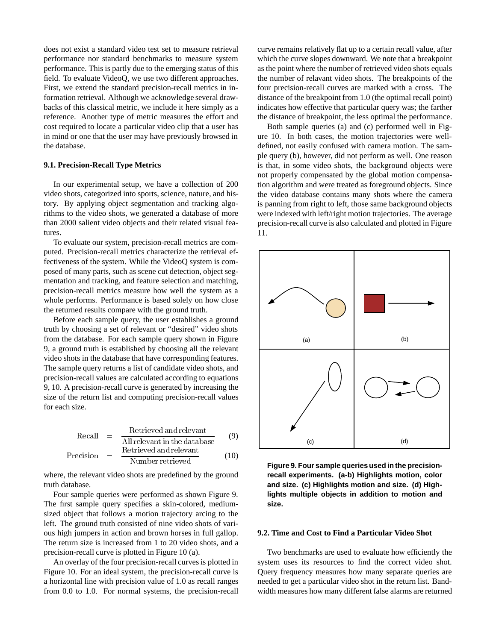does not exist a standard video test set to measure retrieval performance nor standard benchmarks to measure system performance. This is partly due to the emerging status of this field. To evaluate VideoQ, we use two different approaches. First, we extend the standard precision-recall metrics in information retrieval. Although we acknowledge several drawbacks of this classical metric, we include it here simply as a reference. Another type of metric measures the effort and cost required to locate a particular video clip that a user has in mind or one that the user may have previously browsed in the database.

## **9.1. Precision-Recall Type Metrics**

In our experimental setup, we have a collection of 200 video shots, categorized into sports, science, nature, and history. By applying object segmentation and tracking algorithms to the video shots, we generated a database of more than 2000 salient video objects and their related visual features.

To evaluate our system, precision-recall metrics are computed. Precision-recall metrics characterize the retrieval effectiveness of the system. While the VideoQ system is composed of many parts, such as scene cut detection, object segmentation and tracking, and feature selection and matching, precision-recall metrics measure how well the system as a whole performs. Performance is based solely on how close the returned results compare with the ground truth.

Before each sample query, the user establishes a ground truth by choosing a set of relevant or "desired" video shots from the database. For each sample query shown in Figure 9, a ground truth is established by choosing all the relevant video shots in the database that have corresponding features. The sample query returns a list of candidate video shots, and precision-recall values are calculated according to equations 9, 10. A precision-recall curve is generated by increasing the size of the return list and computing precision-recall values for each size.

$$
Recall = \frac{Retrieved and relevant}{All relevant in the database}
$$
 (9)

$$
Precision = \frac{Retrieved and relevant\nNumber retrieved} \qquad (10)
$$

where, the relevant video shots are predefined by the ground truth database.

Four sample queries were performed as shown Figure 9. The first sample query specifies a skin-colored, mediumsized object that follows a motion trajectory arcing to the left. The ground truth consisted of nine video shots of various high jumpers in action and brown horses in full gallop. The return size is increased from 1 to 20 video shots, and a precision-recall curve is plotted in Figure 10 (a).

An overlay of the four precision-recall curves is plotted in Figure 10. For an ideal system, the precision-recall curve is a horizontal line with precision value of 1.0 as recall ranges from 0.0 to 1.0. For normal systems, the precision-recall

curve remains relatively flat up to a certain recall value, after which the curve slopes downward. We note that a breakpoint as the point where the number of retrieved video shots equals the number of relavant video shots. The breakpoints of the four precision-recall curves are marked with a cross. The distance of the breakpoint from 1.0 (the optimal recall point) indicates how effective that particular query was; the farther the distance of breakpoint, the less optimal the performance.

Both sample queries (a) and (c) performed well in Figure 10. In both cases, the motion trajectories were welldefined, not easily confused with camera motion. The sample query (b), however, did not perform as well. One reason is that, in some video shots, the background objects were not properly compensated by the global motion compensation algorithm and were treated as foreground objects. Since the video database contains many shots where the camera is panning from right to left, those same background objects were indexed with left/right motion trajectories. The average precision-recall curve is also calculated and plotted in Figure 11.



**Figure 9. Four sample queries used in the precisionrecall experiments. (a-b) Highlights motion, color and size. (c) Highlights motion and size. (d) Highlights multiple objects in addition to motion and size.**

## **9.2. Time and Cost to Find a Particular Video Shot**

Two benchmarks are used to evaluate how efficiently the system uses its resources to find the correct video shot. Query frequency measures how many separate queries are needed to get a particular video shot in the return list. Bandwidth measures how many different false alarms are returned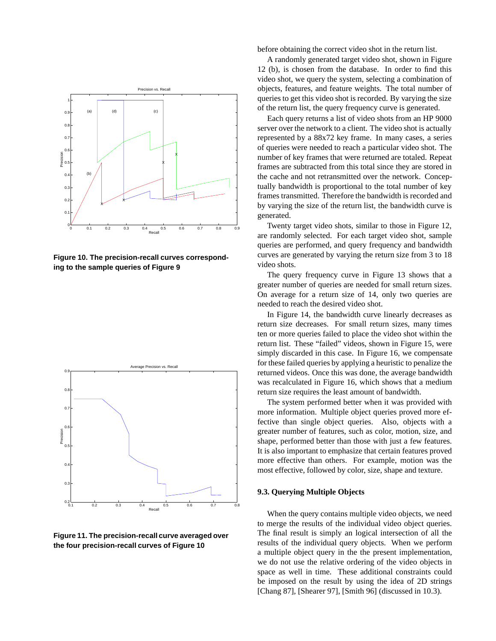

**Figure 10. The precision-recall curves corresponding to the sample queries of Figure 9**



**Figure 11. The precision-recall curve averaged over the four precision-recall curves of Figure 10**

before obtaining the correct video shot in the return list.

A randomly generated target video shot, shown in Figure 12 (b), is chosen from the database. In order to find this video shot, we query the system, selecting a combination of objects, features, and feature weights. The total number of queries to get this video shot is recorded. By varying the size of the return list, the query frequency curve is generated.

Each query returns a list of video shots from an HP 9000 server over the network to a client. The video shot is actually represented by a 88x72 key frame. In many cases, a series of queries were needed to reach a particular video shot. The number of key frames that were returned are totaled. Repeat frames are subtracted from this total since they are stored in the cache and not retransmitted over the network. Conceptually bandwidth is proportional to the total number of key frames transmitted. Therefore the bandwidth is recorded and by varying the size of the return list, the bandwidth curve is generated.

Twenty target video shots, similar to those in Figure 12, are randomly selected. For each target video shot, sample queries are performed, and query frequency and bandwidth curves are generated by varying the return size from 3 to 18 video shots.

The query frequency curve in Figure 13 shows that a greater number of queries are needed for small return sizes. On average for a return size of 14, only two queries are needed to reach the desired video shot.

In Figure 14, the bandwidth curve linearly decreases as return size decreases. For small return sizes, many times ten or more queries failed to place the video shot within the return list. These "failed" videos, shown in Figure 15, were simply discarded in this case. In Figure 16, we compensate for these failed queries by applying a heuristic to penalize the returned videos. Once this was done, the average bandwidth was recalculated in Figure 16, which shows that a medium return size requires the least amount of bandwidth.

The system performed better when it was provided with more information. Multiple object queries proved more effective than single object queries. Also, objects with a greater number of features, such as color, motion, size, and shape, performed better than those with just a few features. It is also important to emphasize that certain features proved more effective than others. For example, motion was the most effective, followed by color, size, shape and texture.

#### **9.3. Querying Multiple Objects**

When the query contains multiple video objects, we need to merge the results of the individual video object queries. The final result is simply an logical intersection of all the results of the individual query objects. When we perform a multiple object query in the the present implementation, we do not use the relative ordering of the video objects in space as well in time. These additional constraints could be imposed on the result by using the idea of 2D strings [Chang 87], [Shearer 97], [Smith 96] (discussed in 10.3).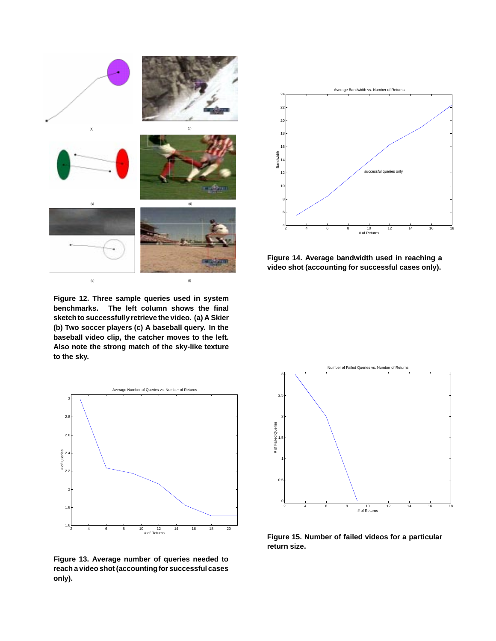

**Figure 12. Three sample queries used in system benchmarks. The left column shows the final sketch to successfullyretrieve the video. (a) A Skier (b) Two soccer players (c) A baseball query. In the baseball video clip, the catcher moves to the left. Also note the strong match of the sky-like texture to the sky.**



**Figure 14. Average bandwidth used in reaching a video shot (accounting for successful cases only).**



**Figure 13. Average number of queries needed to reach a video shot (accountingfor successfulcases only).**



**Figure 15. Number of failed videos for a particular return size.**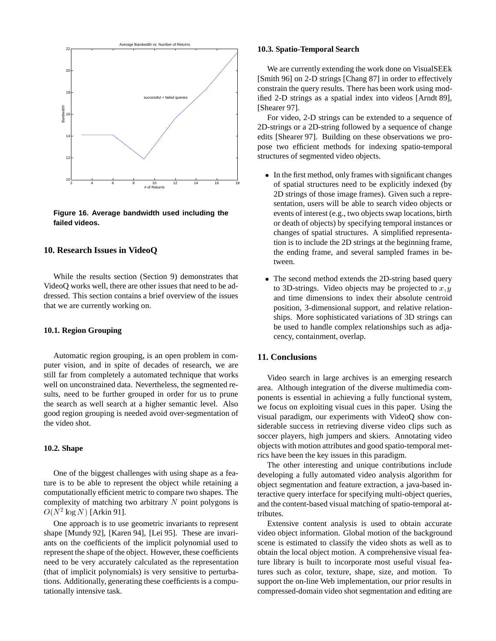

**Figure 16. Average bandwidth used including the failed videos.**

# **10. Research Issues in VideoQ**

While the results section (Section 9) demonstrates that VideoQ works well, there are other issues that need to be addressed. This section contains a brief overview of the issues that we are currently working on.

#### **10.1. Region Grouping**

Automatic region grouping, is an open problem in computer vision, and in spite of decades of research, we are still far from completely a automated technique that works well on unconstrained data. Nevertheless, the segmented results, need to be further grouped in order for us to prune the search as well search at a higher semantic level. Also good region grouping is needed avoid over-segmentation of the video shot.

# **10.2. Shape**

One of the biggest challenges with using shape as a feature is to be able to represent the object while retaining a computationally efficient metric to compare two shapes. The complexity of matching two arbitrary  $N$  point polygons is  $O(N^2 \log N)$  [Arkin 91].

One approach is to use geometric invariants to represent shape [Mundy 92], [Karen 94], [Lei 95]. These are invariants on the coefficients of the implicit polynomial used to represent the shape of the object. However, these coefficients need to be very accurately calculated as the representation (that of implicit polynomials) is very sensitive to perturbations. Additionally, generating these coefficients is a computationally intensive task.

#### **10.3. Spatio-Temporal Search**

We are currently extending the work done on VisualSEEk [Smith 96] on 2-D strings [Chang 87] in order to effectively constrain the query results. There has been work using modified 2-D strings as a spatial index into videos [Arndt 89], [Shearer 97].

For video, 2-D strings can be extended to a sequence of 2D-strings or a 2D-string followed by a sequence of change edits [Shearer 97]. Building on these observations we propose two efficient methods for indexing spatio-temporal structures of segmented video objects.

- In the first method, only frames with significant changes of spatial structures need to be explicitly indexed (by 2D strings of those image frames). Given such a representation, users will be able to search video objects or events of interest (e.g., two objects swap locations, birth or death of objects) by specifying temporal instances or changes of spatial structures. A simplified representation is to include the 2D strings at the beginning frame, the ending frame, and several sampled frames in between.
- The second method extends the 2D-string based query to 3D-strings. Video objects may be projected to x,  $y$ and time dimensions to index their absolute centroid position, 3-dimensional support, and relative relationships. More sophisticated variations of 3D strings can be used to handle complex relationships such as adjacency, containment, overlap.

# **11. Conclusions**

Video search in large archives is an emerging research area. Although integration of the diverse multimedia components is essential in achieving a fully functional system, we focus on exploiting visual cues in this paper. Using the visual paradigm, our experiments with VideoQ show considerable success in retrieving diverse video clips such as soccer players, high jumpers and skiers. Annotating video objects with motion attributes and good spatio-temporal metrics have been the key issues in this paradigm.

The other interesting and unique contributions include developing a fully automated video analysis algorithm for object segmentation and feature extraction, a java-based interactive query interface for specifying multi-object queries, and the content-based visual matching of spatio-temporal attributes.

Extensive content analysis is used to obtain accurate video object information. Global motion of the background scene is estimated to classify the video shots as well as to obtain the local object motion. A comprehensive visual feature library is built to incorporate most useful visual features such as color, texture, shape, size, and motion. To support the on-line Web implementation, our prior results in compressed-domain video shot segmentation and editing are